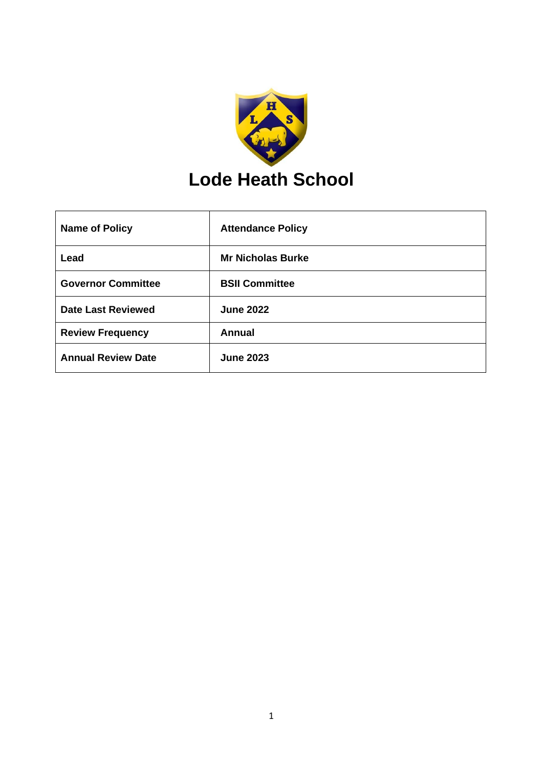

| <b>Name of Policy</b>     | <b>Attendance Policy</b> |
|---------------------------|--------------------------|
| Lead                      | <b>Mr Nicholas Burke</b> |
| <b>Governor Committee</b> | <b>BSII Committee</b>    |
| <b>Date Last Reviewed</b> | <b>June 2022</b>         |
| <b>Review Frequency</b>   | <b>Annual</b>            |
| <b>Annual Review Date</b> | <b>June 2023</b>         |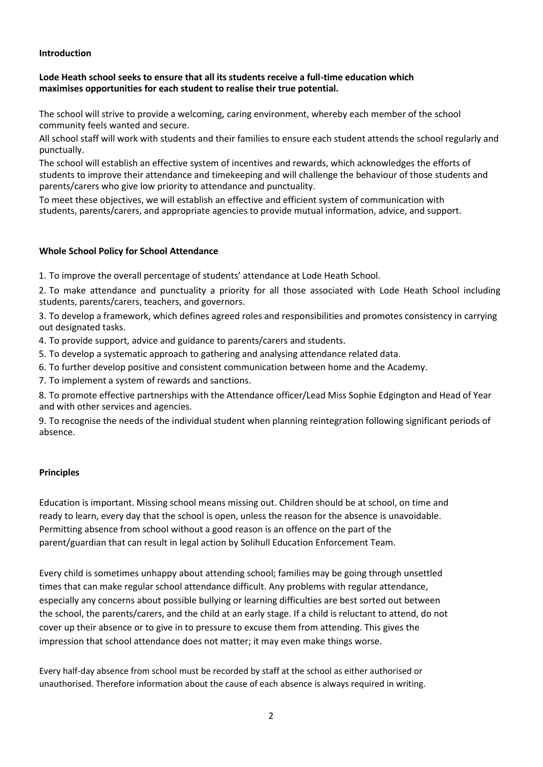#### **Introduction**

# **Lode Heath school seeks to ensure that all its students receive a full-time education which maximises opportunities for each student to realise their true potential.**

The school will strive to provide a welcoming, caring environment, whereby each member of the school community feels wanted and secure.

All school staff will work with students and their families to ensure each student attends the school regularly and punctually.

The school will establish an effective system of incentives and rewards, which acknowledges the efforts of students to improve their attendance and timekeeping and will challenge the behaviour of those students and parents/carers who give low priority to attendance and punctuality.

To meet these objectives, we will establish an effective and efficient system of communication with students, parents/carers, and appropriate agencies to provide mutual information, advice, and support.

#### **Whole School Policy for School Attendance**

1. To improve the overall percentage of students' attendance at Lode Heath School.

2. To make attendance and punctuality a priority for all those associated with Lode Heath School including students, parents/carers, teachers, and governors.

3. To develop a framework, which defines agreed roles and responsibilities and promotes consistency in carrying out designated tasks.

4. To provide support, advice and guidance to parents/carers and students.

5. To develop a systematic approach to gathering and analysing attendance related data.

6. To further develop positive and consistent communication between home and the Academy.

7. To implement a system of rewards and sanctions.

8. To promote effective partnerships with the Attendance officer/Lead Miss Sophie Edgington and Head of Year and with other services and agencies.

9. To recognise the needs of the individual student when planning reintegration following significant periods of absence.

#### **Principles**

Education is important. Missing school means missing out. Children should be at school, on time and ready to learn, every day that the school is open, unless the reason for the absence is unavoidable. Permitting absence from school without a good reason is an offence on the part of the parent/guardian that can result in legal action by Solihull Education Enforcement Team.

Every child is sometimes unhappy about attending school; families may be going through unsettled times that can make regular school attendance difficult. Any problems with regular attendance, especially any concerns about possible bullying or learning difficulties are best sorted out between the school, the parents/carers, and the child at an early stage. If a child is reluctant to attend, do not cover up their absence or to give in to pressure to excuse them from attending. This gives the impression that school attendance does not matter; it may even make things worse.

Every half-day absence from school must be recorded by staff at the school as either authorised or unauthorised. Therefore information about the cause of each absence is always required in writing.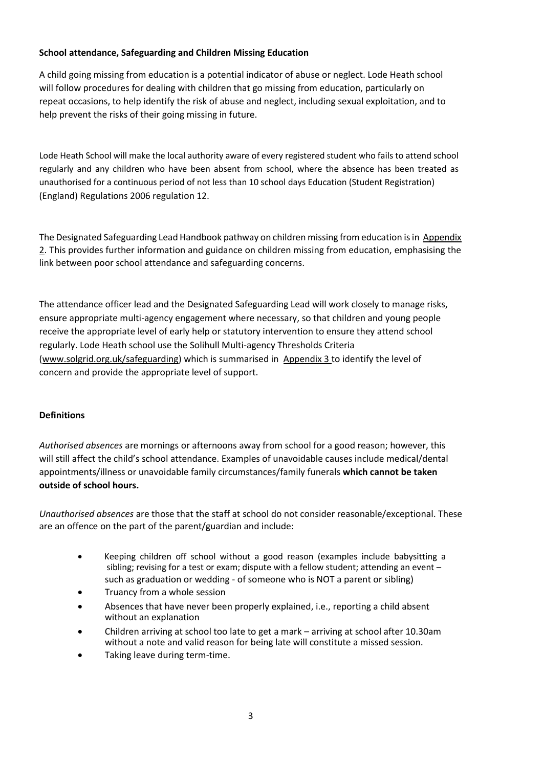# **School attendance, Safeguarding and Children Missing Education**

A child going missing from education is a potential indicator of abuse or neglect. Lode Heath school will follow procedures for dealing with children that go missing from education, particularly on repeat occasions, to help identify the risk of abuse and neglect, including sexual exploitation, and to help prevent the risks of their going missing in future.

Lode Heath School will make the local authority aware of every registered student who fails to attend school regularly and any children who have been absent from school, where the absence has been treated as unauthorised for a continuous period of not less than 10 school days Education (Student Registration) (England) Regulations 2006 regulation 12.

The Designated Safeguarding Lead Handbook pathway on children missing from education is i[n Appendix](#page-11-0) [2.](#page-11-0) This provides further information and guidance on children missing from education, emphasising the link between poor school attendance and safeguarding concerns.

The attendance officer lead and the Designated Safeguarding Lead will work closely to manage risks, ensure appropriate multi-agency engagement where necessary, so that children and young people receive the appropriate level of early help or statutory intervention to ensure they attend school regularly. Lode Heath school use the Solihull Multi-agency Thresholds Criteria [\(www.solgrid.org.uk/safeguarding\)](http://www.solgrid.org.uk/safeguarding) which is summarised in [Appendix 3](#page-16-0) to identify the level of concern and provide the appropriate level of support.

#### **Definitions**

*Authorised absences* are mornings or afternoons away from school for a good reason; however, this will still affect the child's school attendance. Examples of unavoidable causes include medical/dental appointments/illness or unavoidable family circumstances/family funerals **which cannot be taken outside of school hours.**

*Unauthorised absences* are those that the staff at school do not consider reasonable/exceptional. These are an offence on the part of the parent/guardian and include:

- Keeping children off school without a good reason (examples include babysitting a sibling; revising for a test or exam; dispute with a fellow student; attending an event – such as graduation or wedding - of someone who is NOT a parent or sibling)
- Truancy from a whole session
- Absences that have never been properly explained, i.e., reporting a child absent without an explanation
- Children arriving at school too late to get a mark arriving at school after 10.30am without a note and valid reason for being late will constitute a missed session.
- Taking leave during term-time.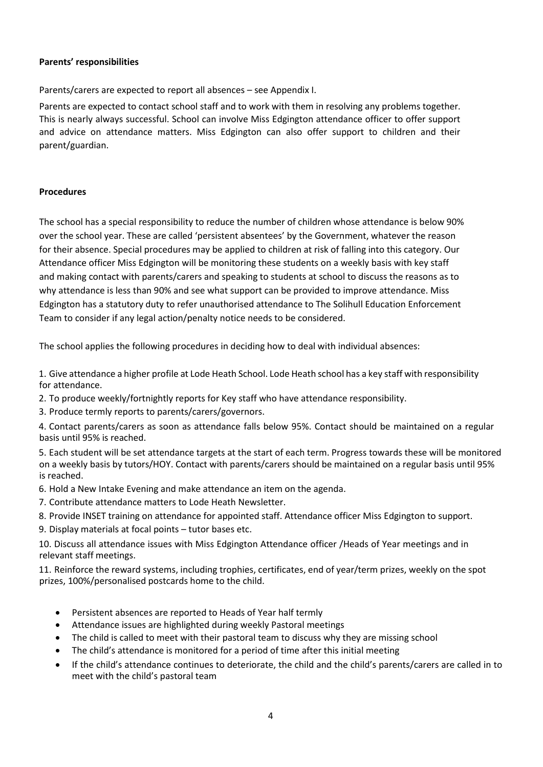# **Parents' responsibilities**

Parents/carers are expected to report all absences – see Appendix I.

Parents are expected to contact school staff and to work with them in resolving any problems together. This is nearly always successful. School can involve Miss Edgington attendance officer to offer support and advice on attendance matters. Miss Edgington can also offer support to children and their parent/guardian.

# **Procedures**

The school has a special responsibility to reduce the number of children whose attendance is below 90% over the school year. These are called 'persistent absentees' by the Government, whatever the reason for their absence. Special procedures may be applied to children at risk of falling into this category. Our Attendance officer Miss Edgington will be monitoring these students on a weekly basis with key staff and making contact with parents/carers and speaking to students at school to discuss the reasons as to why attendance is less than 90% and see what support can be provided to improve attendance. Miss Edgington has a statutory duty to refer unauthorised attendance to The Solihull Education Enforcement Team to consider if any legal action/penalty notice needs to be considered.

The school applies the following procedures in deciding how to deal with individual absences:

1. Give attendance a higher profile at Lode Heath School. Lode Heath school has a key staff with responsibility for attendance.

- 2. To produce weekly/fortnightly reports for Key staff who have attendance responsibility.
- 3. Produce termly reports to parents/carers/governors.

4. Contact parents/carers as soon as attendance falls below 95%. Contact should be maintained on a regular basis until 95% is reached.

5. Each student will be set attendance targets at the start of each term. Progress towards these will be monitored on a weekly basis by tutors/HOY. Contact with parents/carers should be maintained on a regular basis until 95% is reached.

- 6. Hold a New Intake Evening and make attendance an item on the agenda.
- 7. Contribute attendance matters to Lode Heath Newsletter.
- 8. Provide INSET training on attendance for appointed staff. Attendance officer Miss Edgington to support.
- 9. Display materials at focal points tutor bases etc.

10. Discuss all attendance issues with Miss Edgington Attendance officer /Heads of Year meetings and in relevant staff meetings.

11. Reinforce the reward systems, including trophies, certificates, end of year/term prizes, weekly on the spot prizes, 100%/personalised postcards home to the child.

- Persistent absences are reported to Heads of Year half termly
- Attendance issues are highlighted during weekly Pastoral meetings
- The child is called to meet with their pastoral team to discuss why they are missing school
- The child's attendance is monitored for a period of time after this initial meeting
- If the child's attendance continues to deteriorate, the child and the child's parents/carers are called in to meet with the child's pastoral team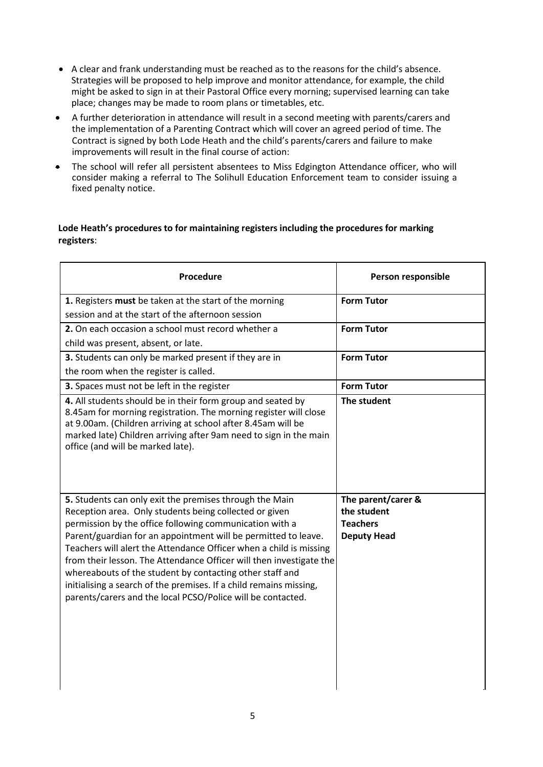- A clear and frank understanding must be reached as to the reasons for the child's absence. Strategies will be proposed to help improve and monitor attendance, for example, the child might be asked to sign in at their Pastoral Office every morning; supervised learning can take place; changes may be made to room plans or timetables, etc.
- A further deterioration in attendance will result in a second meeting with parents/carers and the implementation of a Parenting Contract which will cover an agreed period of time. The Contract is signed by both Lode Heath and the child's parents/carers and failure to make improvements will result in the final course of action:
- The school will refer all persistent absentees to Miss Edgington Attendance officer, who will consider making a referral to The Solihull Education Enforcement team to consider issuing a fixed penalty notice.

# **Lode Heath's procedures to for maintaining registers including the procedures for marking registers**:

| Procedure                                                                                                                                                                                                                                                                                                                                                                                                                                                                                                                                                                                    | Person responsible                                                         |
|----------------------------------------------------------------------------------------------------------------------------------------------------------------------------------------------------------------------------------------------------------------------------------------------------------------------------------------------------------------------------------------------------------------------------------------------------------------------------------------------------------------------------------------------------------------------------------------------|----------------------------------------------------------------------------|
| 1. Registers must be taken at the start of the morning                                                                                                                                                                                                                                                                                                                                                                                                                                                                                                                                       | <b>Form Tutor</b>                                                          |
| session and at the start of the afternoon session                                                                                                                                                                                                                                                                                                                                                                                                                                                                                                                                            |                                                                            |
| 2. On each occasion a school must record whether a                                                                                                                                                                                                                                                                                                                                                                                                                                                                                                                                           | <b>Form Tutor</b>                                                          |
| child was present, absent, or late.                                                                                                                                                                                                                                                                                                                                                                                                                                                                                                                                                          |                                                                            |
| 3. Students can only be marked present if they are in                                                                                                                                                                                                                                                                                                                                                                                                                                                                                                                                        | <b>Form Tutor</b>                                                          |
| the room when the register is called.                                                                                                                                                                                                                                                                                                                                                                                                                                                                                                                                                        |                                                                            |
| 3. Spaces must not be left in the register                                                                                                                                                                                                                                                                                                                                                                                                                                                                                                                                                   | <b>Form Tutor</b>                                                          |
| 4. All students should be in their form group and seated by<br>8.45am for morning registration. The morning register will close<br>at 9.00am. (Children arriving at school after 8.45am will be<br>marked late) Children arriving after 9am need to sign in the main<br>office (and will be marked late).                                                                                                                                                                                                                                                                                    | The student                                                                |
| 5. Students can only exit the premises through the Main<br>Reception area. Only students being collected or given<br>permission by the office following communication with a<br>Parent/guardian for an appointment will be permitted to leave.<br>Teachers will alert the Attendance Officer when a child is missing<br>from their lesson. The Attendance Officer will then investigate the<br>whereabouts of the student by contacting other staff and<br>initialising a search of the premises. If a child remains missing,<br>parents/carers and the local PCSO/Police will be contacted. | The parent/carer &<br>the student<br><b>Teachers</b><br><b>Deputy Head</b> |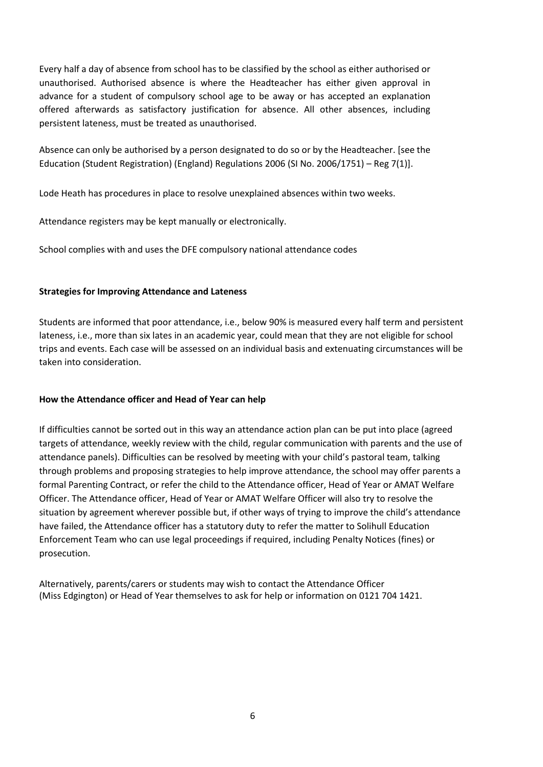Every half a day of absence from school has to be classified by the school as either authorised or unauthorised. Authorised absence is where the Headteacher has either given approval in advance for a student of compulsory school age to be away or has accepted an explanation offered afterwards as satisfactory justification for absence. All other absences, including persistent lateness, must be treated as unauthorised.

Absence can only be authorised by a person designated to do so or by the Headteacher. [see the Education (Student Registration) (England) Regulations 2006 (SI No. 2006/1751) – Reg 7(1)].

Lode Heath has procedures in place to resolve unexplained absences within two weeks.

Attendance registers may be kept manually or electronically.

School complies with and uses the DFE compulsory national attendance codes

# **Strategies for Improving Attendance and Lateness**

Students are informed that poor attendance, i.e., below 90% is measured every half term and persistent lateness, i.e., more than six lates in an academic year, could mean that they are not eligible for school trips and events. Each case will be assessed on an individual basis and extenuating circumstances will be taken into consideration.

#### **How the Attendance officer and Head of Year can help**

If difficulties cannot be sorted out in this way an attendance action plan can be put into place (agreed targets of attendance, weekly review with the child, regular communication with parents and the use of attendance panels). Difficulties can be resolved by meeting with your child's pastoral team, talking through problems and proposing strategies to help improve attendance, the school may offer parents a formal Parenting Contract, or refer the child to the Attendance officer, Head of Year or AMAT Welfare Officer. The Attendance officer, Head of Year or AMAT Welfare Officer will also try to resolve the situation by agreement wherever possible but, if other ways of trying to improve the child's attendance have failed, the Attendance officer has a statutory duty to refer the matter to Solihull Education Enforcement Team who can use legal proceedings if required, including Penalty Notices (fines) or prosecution.

Alternatively, parents/carers or students may wish to contact the Attendance Officer (Miss Edgington) or Head of Year themselves to ask for help or information on 0121 704 1421.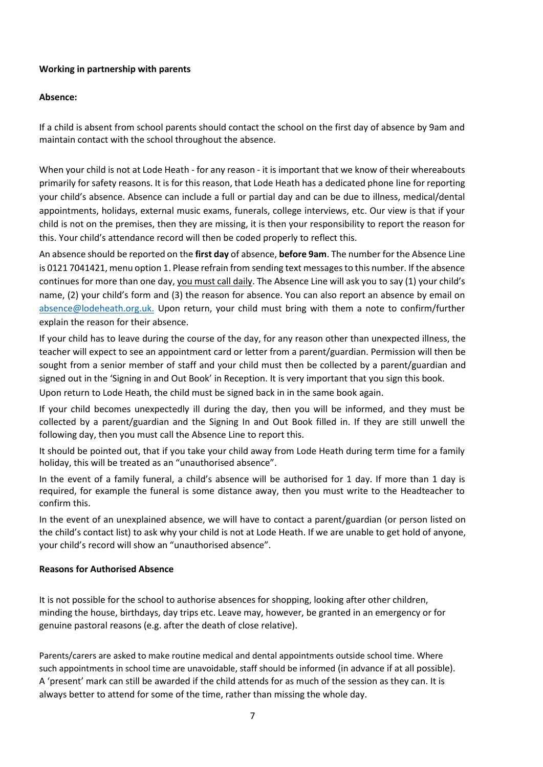# **Working in partnership with parents**

# **Absence:**

If a child is absent from school parents should contact the school on the first day of absence by 9am and maintain contact with the school throughout the absence.

When your child is not at Lode Heath - for any reason - it is important that we know of their whereabouts primarily for safety reasons. It is for this reason, that Lode Heath has a dedicated phone line for reporting your child's absence. Absence can include a full or partial day and can be due to illness, medical/dental appointments, holidays, external music exams, funerals, college interviews, etc. Our view is that if your child is not on the premises, then they are missing, it is then your responsibility to report the reason for this. Your child's attendance record will then be coded properly to reflect this.

An absence should be reported on the **first day** of absence, **before 9am**. The number for the Absence Line is 0121 7041421, menu option 1. Please refrain from sending text messages to this number. If the absence continues for more than one day, you must call daily. The Absence Line will ask you to say (1) your child's name, (2) your child's form and (3) the reason for absence. You can also report an absence by email o[n](mailto:%20absence@lodeheath.org.uk.)  [absence@lodeheath.org.uk.](mailto:%20absence@lodeheath.org.uk.) Upon return, your child must bring with them a note to confirm/further explain the reason for their absence.

If your child has to leave during the course of the day, for any reason other than unexpected illness, the teacher will expect to see an appointment card or letter from a parent/guardian. Permission will then be sought from a senior member of staff and your child must then be collected by a parent/guardian and signed out in the 'Signing in and Out Book' in Reception. It is very important that you sign this book.

Upon return to Lode Heath, the child must be signed back in in the same book again.

If your child becomes unexpectedly ill during the day, then you will be informed, and they must be collected by a parent/guardian and the Signing In and Out Book filled in. If they are still unwell the following day, then you must call the Absence Line to report this.

It should be pointed out, that if you take your child away from Lode Heath during term time for a family holiday, this will be treated as an "unauthorised absence".

In the event of a family funeral, a child's absence will be authorised for 1 day. If more than 1 day is required, for example the funeral is some distance away, then you must write to the Headteacher to confirm this.

In the event of an unexplained absence, we will have to contact a parent/guardian (or person listed on the child's contact list) to ask why your child is not at Lode Heath. If we are unable to get hold of anyone, your child's record will show an "unauthorised absence".

#### **Reasons for Authorised Absence**

It is not possible for the school to authorise absences for shopping, looking after other children, minding the house, birthdays, day trips etc. Leave may, however, be granted in an emergency or for genuine pastoral reasons (e.g. after the death of close relative).

Parents/carers are asked to make routine medical and dental appointments outside school time. Where such appointments in school time are unavoidable, staff should be informed (in advance if at all possible). A 'present' mark can still be awarded if the child attends for as much of the session as they can. It is always better to attend for some of the time, rather than missing the whole day.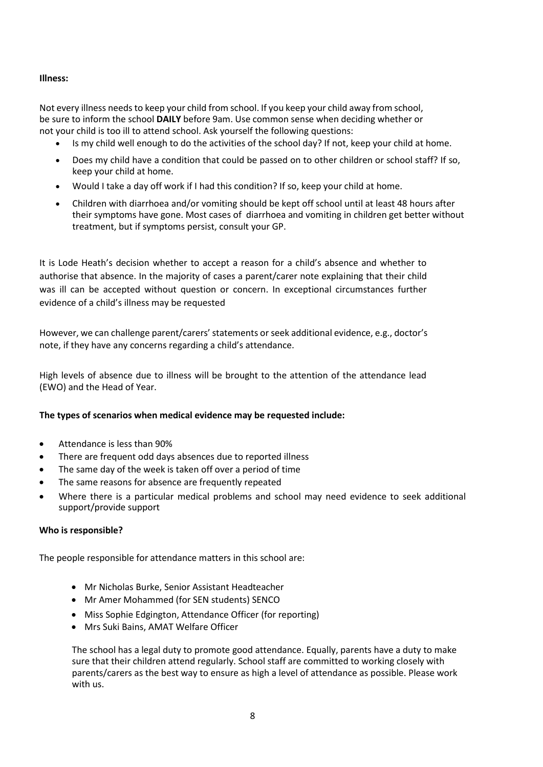# **Illness:**

Not every illness needs to keep your child from school. If you keep your child away from school, be sure to inform the school **DAILY** before 9am. Use common sense when deciding whether or not your child is too ill to attend school. Ask yourself the following questions:

- Is my child well enough to do the activities of the school day? If not, keep your child at home.
- Does my child have a condition that could be passed on to other children or school staff? If so, keep your child at home.
- Would I take a day off work if I had this condition? If so, keep your child at home.
- Children with diarrhoea and/or vomiting should be kept off school until at least 48 hours after their symptoms have gone. Most cases of [diarrhoea and vomiting in children](http://www.nhs.uk/Conditions/Rotavirus-gastroenteritis/Pages/Introduction-OLD.aspx) get better without treatment, but if symptoms persist, consult your GP.

It is Lode Heath's decision whether to accept a reason for a child's absence and whether to authorise that absence. In the majority of cases a parent/carer note explaining that their child was ill can be accepted without question or concern. In exceptional circumstances further evidence of a child's illness may be requested

However, we can challenge parent/carers' statements or seek additional evidence, e.g., doctor's note, if they have any concerns regarding a child's attendance.

High levels of absence due to illness will be brought to the attention of the attendance lead (EWO) and the Head of Year.

#### **The types of scenarios when medical evidence may be requested include:**

- Attendance is less than 90%
- There are frequent odd days absences due to reported illness
- The same day of the week is taken off over a period of time
- The same reasons for absence are frequently repeated
- Where there is a particular medical problems and school may need evidence to seek additional support/provide support

#### **Who is responsible?**

The people responsible for attendance matters in this school are:

- Mr Nicholas Burke, Senior Assistant Headteacher
- Mr Amer Mohammed (for SEN students) SENCO
- Miss Sophie Edgington, Attendance Officer (for reporting)
- Mrs Suki Bains, AMAT Welfare Officer

The school has a legal duty to promote good attendance. Equally, parents have a duty to make sure that their children attend regularly. School staff are committed to working closely with parents/carers as the best way to ensure as high a level of attendance as possible. Please work with us.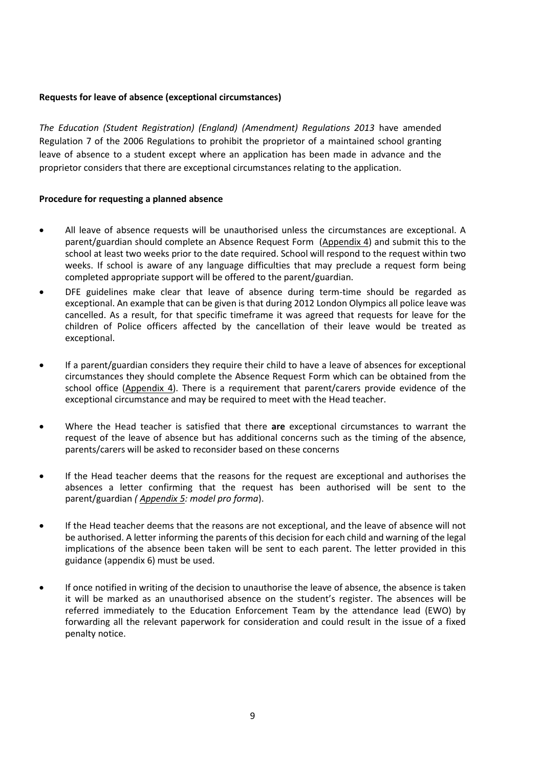#### **Requests for leave of absence (exceptional circumstances)**

*The Education (Student Registration) (England) (Amendment) Regulations 2013* have amended Regulation 7 of the 2006 Regulations to prohibit the proprietor of a maintained school granting leave of absence to a student except where an application has been made in advance and the proprietor considers that there are exceptional circumstances relating to the application.

#### **Procedure for requesting a planned absence**

- All leave of absence requests will be unauthorised unless the circumstances are exceptional. A parent/guardian should complete an Absence Request Form [\(Appendix 4](#page-18-0)) and submit this to the school at least two weeks prior to the date required. School will respond to the request within two weeks. If school is aware of any language difficulties that may preclude a request form being completed appropriate support will be offered to the parent/guardian.
- DFE guidelines make clear that leave of absence during term-time should be regarded as exceptional. An example that can be given is that during 2012 London Olympics all police leave was cancelled. As a result, for that specific timeframe it was agreed that requests for leave for the children of Police officers affected by the cancellation of their leave would be treated as exceptional.
- If a parent/guardian considers they require their child to have a leave of absences for exceptional circumstances they should complete the Absence Request Form which can be obtained from the school office [\(Appendix 4](#page-18-0)). There is a requirement that parent/carers provide evidence of the exceptional circumstance and may be required to meet with the Head teacher.
- Where the Head teacher is satisfied that there **are** exceptional circumstances to warrant the request of the leave of absence but has additional concerns such as the timing of the absence, parents/carers will be asked to reconsider based on these concerns
- If the Head teacher deems that the reasons for the request are exceptional and authorises the absences a letter confirming that the request has been authorised will be sent to the parent/guardian *( Appendix 5: model pro forma*).
- If the Head teacher deems that the reasons are not exceptional, and the leave of absence will not be authorised. A letter informing the parents of this decision for each child and warning of the legal implications of the absence been taken will be sent to each parent. The letter provided in this guidance (appendix 6) must be used.
- If once notified in writing of the decision to unauthorise the leave of absence, the absence is taken it will be marked as an unauthorised absence on the student's register. The absences will be referred immediately to the Education Enforcement Team by the attendance lead (EWO) by forwarding all the relevant paperwork for consideration and could result in the issue of a fixed penalty notice.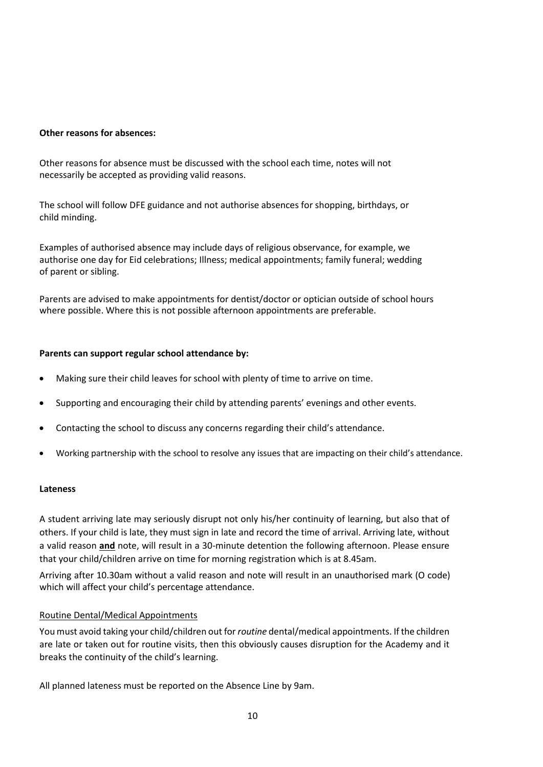#### **Other reasons for absences:**

Other reasons for absence must be discussed with the school each time, notes will not necessarily be accepted as providing valid reasons.

The school will follow DFE guidance and not authorise absences for shopping, birthdays, or child minding.

Examples of authorised absence may include days of religious observance, for example, we authorise one day for Eid celebrations; Illness; medical appointments; family funeral; wedding of parent or sibling.

Parents are advised to make appointments for dentist/doctor or optician outside of school hours where possible. Where this is not possible afternoon appointments are preferable.

#### **Parents can support regular school attendance by:**

- Making sure their child leaves for school with plenty of time to arrive on time.
- Supporting and encouraging their child by attending parents' evenings and other events.
- Contacting the school to discuss any concerns regarding their child's attendance.
- Working partnership with the school to resolve any issues that are impacting on their child's attendance.

#### **Lateness**

A student arriving late may seriously disrupt not only his/her continuity of learning, but also that of others. If your child is late, they must sign in late and record the time of arrival. Arriving late, without a valid reason **and** note, will result in a 30-minute detention the following afternoon. Please ensure that your child/children arrive on time for morning registration which is at 8.45am.

Arriving after 10.30am without a valid reason and note will result in an unauthorised mark (O code) which will affect your child's percentage attendance.

#### Routine Dental/Medical Appointments

You must avoid taking your child/children out for *routine* dental/medical appointments. If the children are late or taken out for routine visits, then this obviously causes disruption for the Academy and it breaks the continuity of the child's learning.

All planned lateness must be reported on the Absence Line by 9am.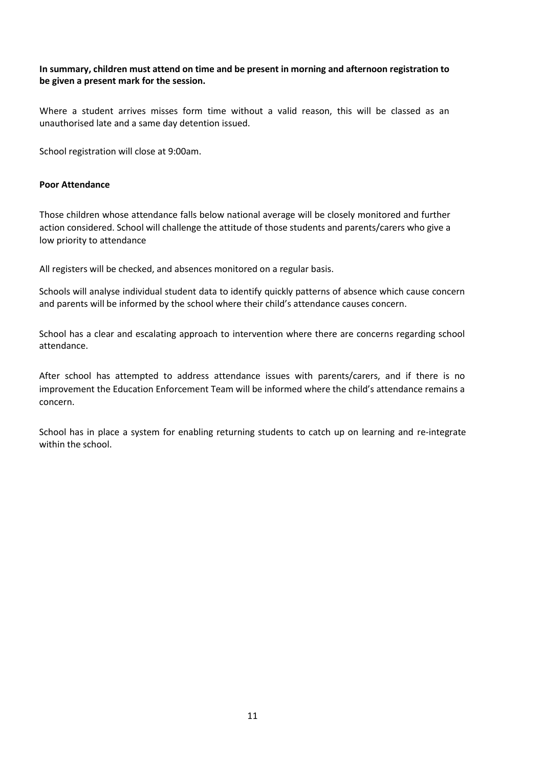**In summary, children must attend on time and be present in morning and afternoon registration to be given a present mark for the session.**

Where a student arrives misses form time without a valid reason, this will be classed as an unauthorised late and a same day detention issued.

School registration will close at 9:00am.

#### **Poor Attendance**

Those children whose attendance falls below national average will be closely monitored and further action considered. School will challenge the attitude of those students and parents/carers who give a low priority to attendance

All registers will be checked, and absences monitored on a regular basis.

Schools will analyse individual student data to identify quickly patterns of absence which cause concern and parents will be informed by the school where their child's attendance causes concern.

School has a clear and escalating approach to intervention where there are concerns regarding school attendance.

After school has attempted to address attendance issues with parents/carers, and if there is no improvement the Education Enforcement Team will be informed where the child's attendance remains a concern.

School has in place a system for enabling returning students to catch up on learning and re-integrate within the school.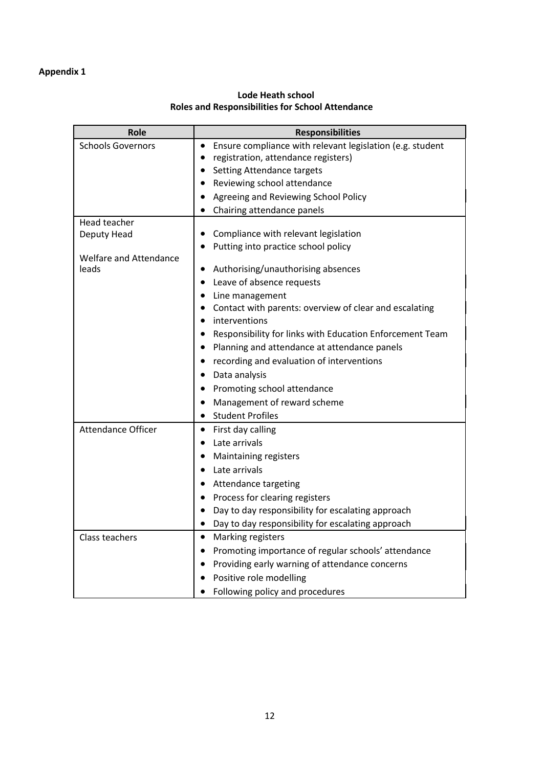<span id="page-11-0"></span>

| Role                            | <b>Responsibilities</b>                                                |
|---------------------------------|------------------------------------------------------------------------|
| <b>Schools Governors</b>        | Ensure compliance with relevant legislation (e.g. student<br>$\bullet$ |
|                                 | registration, attendance registers)<br>$\bullet$                       |
|                                 | Setting Attendance targets<br>$\bullet$                                |
|                                 | Reviewing school attendance<br>٠                                       |
|                                 | Agreeing and Reviewing School Policy<br>$\bullet$                      |
|                                 | Chairing attendance panels                                             |
| Head teacher                    |                                                                        |
| Deputy Head                     | Compliance with relevant legislation<br>$\bullet$                      |
|                                 | Putting into practice school policy                                    |
| Welfare and Attendance<br>leads | Authorising/unauthorising absences<br>$\bullet$                        |
|                                 | Leave of absence requests<br>$\bullet$                                 |
|                                 | Line management                                                        |
|                                 | Contact with parents: overview of clear and escalating                 |
|                                 | interventions<br>$\bullet$                                             |
|                                 | Responsibility for links with Education Enforcement Team<br>$\bullet$  |
|                                 | Planning and attendance at attendance panels                           |
|                                 | recording and evaluation of interventions                              |
|                                 | Data analysis<br>٠                                                     |
|                                 | Promoting school attendance                                            |
|                                 | Management of reward scheme                                            |
|                                 | <b>Student Profiles</b><br>$\bullet$                                   |
| Attendance Officer              | First day calling<br>$\bullet$                                         |
|                                 | Late arrivals<br>$\bullet$                                             |
|                                 | Maintaining registers<br>$\bullet$                                     |
|                                 | Late arrivals<br>$\bullet$                                             |
|                                 | Attendance targeting<br>٠                                              |
|                                 | Process for clearing registers<br>$\bullet$                            |
|                                 | Day to day responsibility for escalating approach<br>$\bullet$         |
|                                 | Day to day responsibility for escalating approach                      |
| Class teachers                  | Marking registers<br>$\bullet$                                         |
|                                 | Promoting importance of regular schools' attendance<br>$\bullet$       |
|                                 | Providing early warning of attendance concerns<br>٠                    |
|                                 | Positive role modelling                                                |
|                                 | Following policy and procedures                                        |

# **Lode Heath school Roles and Responsibilities for School Attendance**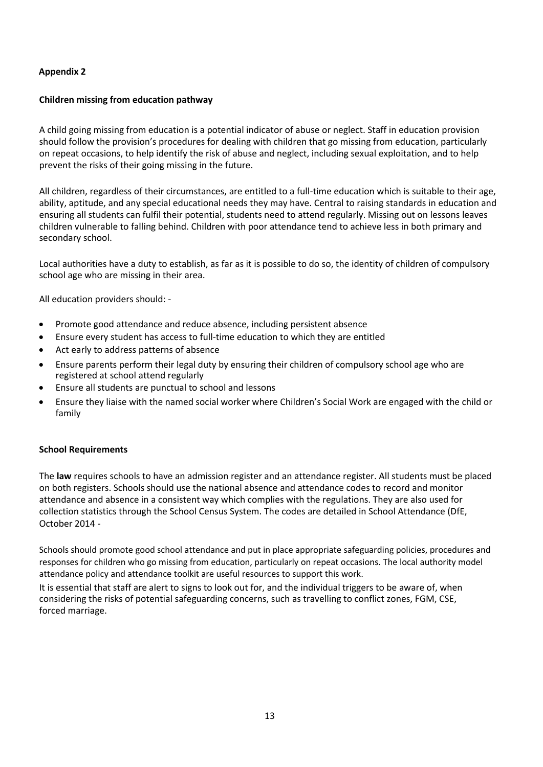# **Children missing from education pathway**

A child going missing from education is a potential indicator of abuse or neglect. Staff in education provision should follow the provision's procedures for dealing with children that go missing from education, particularly on repeat occasions, to help identify the risk of abuse and neglect, including sexual exploitation, and to help prevent the risks of their going missing in the future.

All children, regardless of their circumstances, are entitled to a full-time education which is suitable to their age, ability, aptitude, and any special educational needs they may have. Central to raising standards in education and ensuring all students can fulfil their potential, students need to attend regularly. Missing out on lessons leaves children vulnerable to falling behind. Children with poor attendance tend to achieve less in both primary and secondary school.

Local authorities have a duty to establish, as far as it is possible to do so, the identity of children of compulsory school age who are missing in their area.

All education providers should: -

- Promote good attendance and reduce absence, including persistent absence
- Ensure every student has access to full-time education to which they are entitled
- Act early to address patterns of absence
- Ensure parents perform their legal duty by ensuring their children of compulsory school age who are registered at school attend regularly
- Ensure all students are punctual to school and lessons
- Ensure they liaise with the named social worker where Children's Social Work are engaged with the child or family

#### **School Requirements**

The **law** requires schools to have an admission register and an attendance register. All students must be placed on both registers. Schools should use the national absence and attendance codes to record and monitor attendance and absence in a consistent way which complies with the regulations. They are also used for collection statistics through the School Census System. The codes are detailed in School Attendance (DfE, October 2014 -

Schools should promote good school attendance and put in place appropriate safeguarding policies, procedures and responses for children who go missing from education, particularly on repeat occasions. The local authority model attendance policy and attendance toolkit are useful resources to support this work.

It is essential that staff are alert to signs to look out for, and the individual triggers to be aware of, when considering the risks of potential safeguarding concerns, such as travelling to conflict zones, FGM, CSE, forced marriage.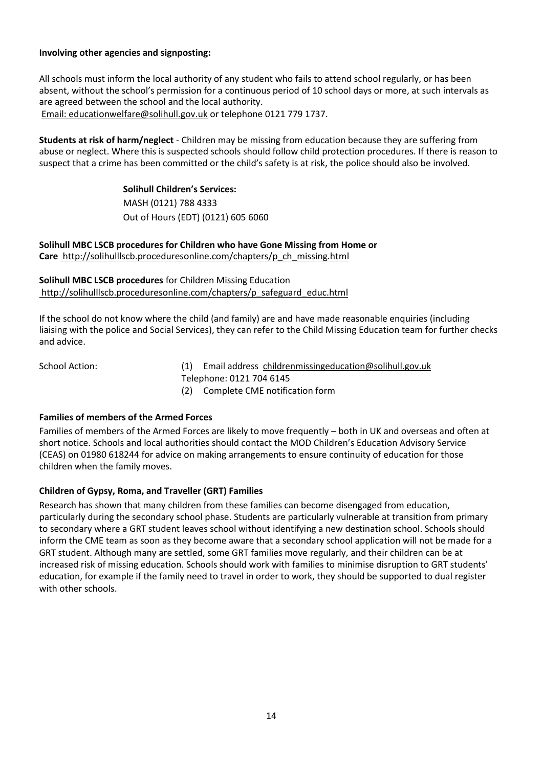# **Involving other agencies and signposting:**

All schools must inform the local authority of any student who fails to attend school regularly, or has been absent, without the school's permission for a continuous period of 10 school days or more, at such intervals as are agreed between the school and the local authority. [Email: educationwelfare@solihull.gov.uk](mailto:Email:%20%20educationwelfare@solihull.gov.uk) or telephone 0121 779 1737.

**Students at risk of harm/neglect** - Children may be missing from education because they are suffering from abuse or neglect. Where this is suspected schools should follow child protection procedures. If there is reason to suspect that a crime has been committed or the child's safety is at risk, the police should also be involved.

> **Solihull Children's Services:** MASH (0121) 788 4333 Out of Hours (EDT) (0121) 605 6060

**Solihull MBC LSCB procedures for Children who have Gone Missing from Home or Care** [http://solihulllscb.proceduresonline.com/chapters/p\\_ch\\_missing.html](http://solihulllscb.proceduresonline.com/chapters/p_ch_missing.html)

**Solihull MBC LSCB procedures** for Children Missing Education [http://solihulllscb.proceduresonline.com/chapters/p\\_safeguard\\_educ.html](http://solihulllscb.proceduresonline.com/chapters/p_safeguard_educ.html)

If the school do not know where the child (and family) are and have made reasonable enquiries (including liaising with the police and Social Services), they can refer to the Child Missing Education team for further checks and advice.

School Action: (1) Email address [childrenmissingeducation@solihull.gov.uk](mailto:childrenmissingeducation@solihull.gov.uk) Telephone: 0121 704 6145 (2) Complete CME notification form

#### **Families of members of the Armed Forces**

Families of members of the Armed Forces are likely to move frequently – both in UK and overseas and often at short notice. Schools and local authorities should contact the MOD Children's Education Advisory Service (CEAS) on 01980 618244 for advice on making arrangements to ensure continuity of education for those children when the family moves.

# **Children of Gypsy, Roma, and Traveller (GRT) Families**

Research has shown that many children from these families can become disengaged from education, particularly during the secondary school phase. Students are particularly vulnerable at transition from primary to secondary where a GRT student leaves school without identifying a new destination school. Schools should inform the CME team as soon as they become aware that a secondary school application will not be made for a GRT student. Although many are settled, some GRT families move regularly, and their children can be at increased risk of missing education. Schools should work with families to minimise disruption to GRT students' education, for example if the family need to travel in order to work, they should be supported to dual register with other schools.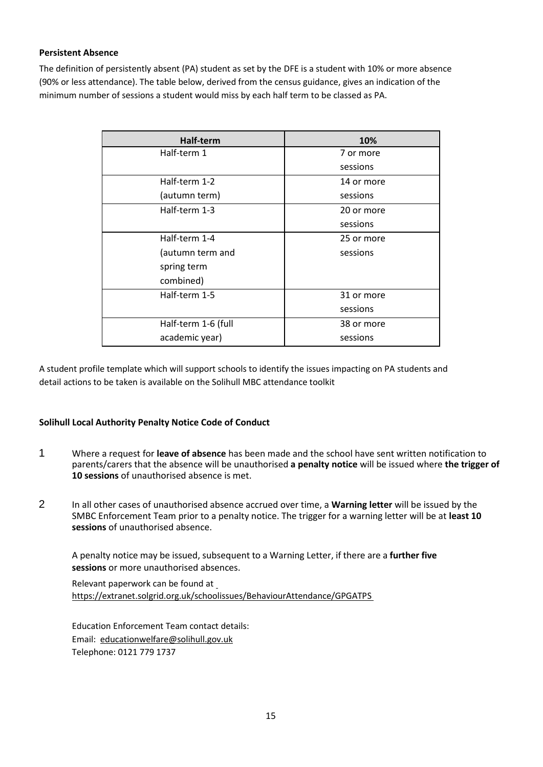# **Persistent Absence**

The definition of persistently absent (PA) student as set by the DFE is a student with 10% or more absence (90% or less attendance). The table below, derived from the census guidance, gives an indication of the minimum number of sessions a student would miss by each half term to be classed as PA.

| Half-term           | 10%        |
|---------------------|------------|
| Half-term 1         | 7 or more  |
|                     | sessions   |
| Half-term 1-2       | 14 or more |
| (autumn term)       | sessions   |
| Half-term 1-3       | 20 or more |
|                     | sessions   |
| Half-term 1-4       | 25 or more |
| (autumn term and    | sessions   |
| spring term         |            |
| combined)           |            |
| Half-term 1-5       | 31 or more |
|                     | sessions   |
| Half-term 1-6 (full | 38 or more |
| academic year)      | sessions   |

A student profile template which will support schools to identify the issues impacting on PA students and detail actions to be taken is available on the Solihull MBC attendance toolkit

# **Solihull Local Authority Penalty Notice Code of Conduct**

- 1 Where a request for **leave of absence** has been made and the school have sent written notification to parents/carers that the absence will be unauthorised **a penalty notice** will be issued where **the trigger of 10 sessions** of unauthorised absence is met.
- 2 In all other cases of unauthorised absence accrued over time, a **Warning letter** will be issued by the SMBC Enforcement Team prior to a penalty notice. The trigger for a warning letter will be at **least 10 sessions** of unauthorised absence.

A penalty notice may be issued, subsequent to a Warning Letter, if there are a **further five sessions** or more unauthorised absences.

Relevant paperwork can be found a[t](https://extranet.solgrid.org.uk/schoolissues/BehaviourAttendance/GPGATPS)  <https://extranet.solgrid.org.uk/schoolissues/BehaviourAttendance/GPGATPS>

Education Enforcement Team contact details: Email[: educationwelfare@solihull.gov.uk](mailto:educationwelfare@solihull.gov.uk) Telephone: 0121 779 1737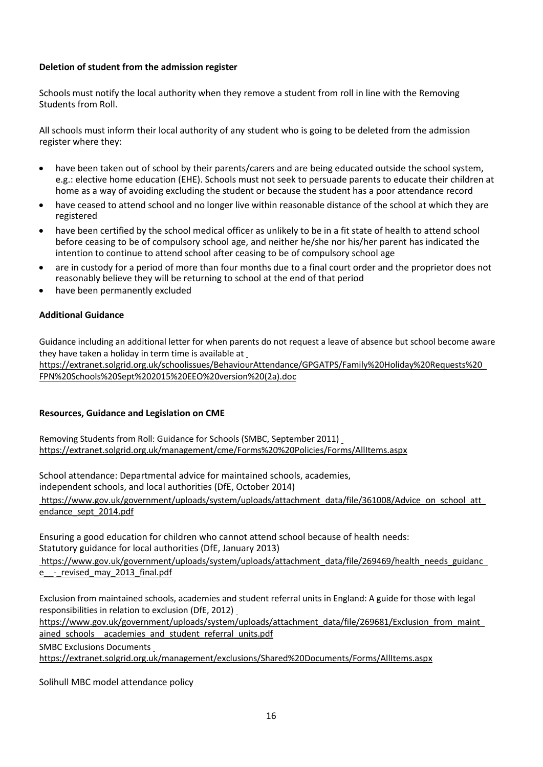# **Deletion of student from the admission register**

Schools must notify the local authority when they remove a student from roll in line with the Removing Students from Roll.

All schools must inform their local authority of any student who is going to be deleted from the admission register where they:

- have been taken out of school by their parents/carers and are being educated outside the school system, e.g.: elective home education (EHE). Schools must not seek to persuade parents to educate their children at home as a way of avoiding excluding the student or because the student has a poor attendance record
- have ceased to attend school and no longer live within reasonable distance of the school at which they are registered
- have been certified by the school medical officer as unlikely to be in a fit state of health to attend school before ceasing to be of compulsory school age, and neither he/she nor his/her parent has indicated the intention to continue to attend school after ceasing to be of compulsory school age
- are in custody for a period of more than four months due to a final court order and the proprietor does not reasonably believe they will be returning to school at the end of that period
- have been permanently excluded

# **Additional Guidance**

Guidance including an additional letter for when par[ents do not request a leave of absence but school become aware](https://extranet.solgrid.org.uk/schoolissues/BehaviourAttendance/GPGATPS/Family%20Holiday%20Requests%20FPN%20Schools%20Sept%202015%20EEO%20version%20(2a).doc)  they have taken a holiday in term time is available at

[https://extranet.solgrid.org.uk/schoolissues/BehaviourAttendance/GPGATPS/Family%20Holiday%20Requests%20](https://extranet.solgrid.org.uk/schoolissues/BehaviourAttendance/GPGATPS/Family%20Holiday%20Requests%20FPN%20Schools%20Sept%202015%20EEO%20version%20(2a).doc)  [FPN%20Schools%20Sept%202015%20EEO%20version%20\(2a\).doc](https://extranet.solgrid.org.uk/schoolissues/BehaviourAttendance/GPGATPS/Family%20Holiday%20Requests%20FPN%20Schools%20Sept%202015%20EEO%20version%20(2a).doc)

# **Resources, Guidance and Legislation on CME**

Removing Students from Roll: Guidance for Schools (SMBC, September 2011) <https://extranet.solgrid.org.uk/management/cme/Forms%20%20Policies/Forms/AllItems.aspx>

School attendance: Departmental advice for maintained schools, academies, independent schools, and local authorities (DfE, October 2014)

[https://www.gov.uk/government/uploads/system/uploads/attachment\\_data/file/361008/Advice\\_on\\_school\\_att](https://www.gov.uk/government/uploads/system/uploads/attachment_data/file/361008/Advice_on_school_attendance_sept_2014.pdf)  [endance\\_sept\\_2014.pdf](https://www.gov.uk/government/uploads/system/uploads/attachment_data/file/361008/Advice_on_school_attendance_sept_2014.pdf)

Ensuring a good education for children who cannot attend school because of health needs: Statutory guidance for local authorities (DfE, January 2013)

[https://www.gov.uk/government/uploads/system/uploads/attachment\\_data/file/269469/health\\_needs\\_guidanc](https://www.gov.uk/government/uploads/system/uploads/attachment_data/file/269469/health_needs_guidance__-_revised_may_2013_final.pdf)  e - revised may 2013 final.pdf

Exclusion from maintained schools, academies an[d student referral units in England: A guide for those with legal](https://www.gov.uk/government/uploads/system/uploads/attachment_data/file/269681/Exclusion_from_maintained_schools__academies_and_pupil_referral_units.pdf)  responsibilities in relation to exclusion (DfE, 2012)

[https://www.gov.uk/government/uploads/system/uploads/attachment\\_data/file/269681/Exclusion\\_from\\_maint](https://www.gov.uk/government/uploads/system/uploads/attachment_data/file/269681/Exclusion_from_maintained_schools__academies_and_pupil_referral_units.pdf)  ained schools academies and student referral units.pdf

SMBC Exclusions Document[s](https://extranet.solgrid.org.uk/management/exclusions/Shared%20Documents/Forms/AllItems.aspx) 

<https://extranet.solgrid.org.uk/management/exclusions/Shared%20Documents/Forms/AllItems.aspx>

Solihull MBC model attendance policy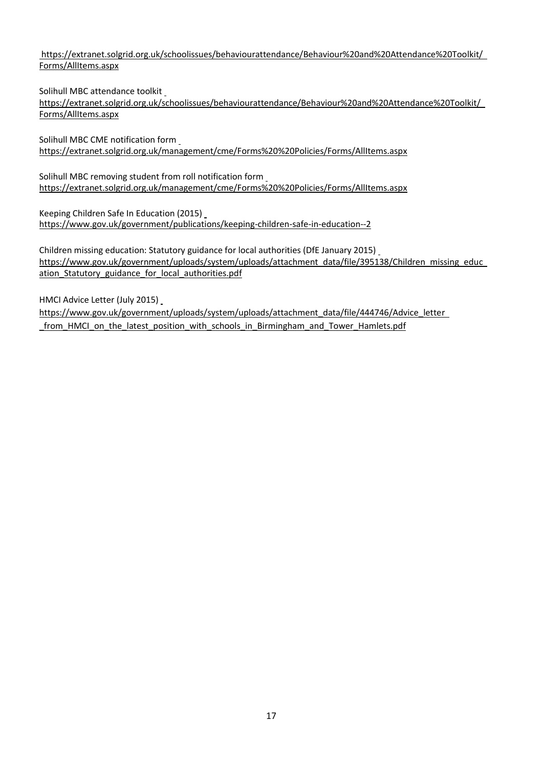<span id="page-16-0"></span>[https://extranet.solgrid.org.uk/schoolissues/behaviourattendance/Behaviour%20and%20Attendance%20Toolkit/](https://extranet.solgrid.org.uk/schoolissues/behaviourattendance/Behaviour%20and%20Attendance%20Toolkit/Forms/AllItems.aspx)  [Forms/AllItems.aspx](https://extranet.solgrid.org.uk/schoolissues/behaviourattendance/Behaviour%20and%20Attendance%20Toolkit/Forms/AllItems.aspx)

Solihull MBC attendance toolkit

[https://extranet.solgrid.org.uk/schoolissues/behaviourattendance/Behaviour%20and%20Attendance%20Toolkit/](https://extranet.solgrid.org.uk/schoolissues/behaviourattendance/Behaviour%20and%20Attendance%20Toolkit/Forms/AllItems.aspx)  [Forms/AllItems.aspx](https://extranet.solgrid.org.uk/schoolissues/behaviourattendance/Behaviour%20and%20Attendance%20Toolkit/Forms/AllItems.aspx)

Solihull MBC CME notification for[m](https://extranet.solgrid.org.uk/management/cme/Forms%20%20Policies/Forms/AllItems.aspx)  <https://extranet.solgrid.org.uk/management/cme/Forms%20%20Policies/Forms/AllItems.aspx>

Solihull MBC removing student from roll notification form <https://extranet.solgrid.org.uk/management/cme/Forms%20%20Policies/Forms/AllItems.aspx>

Keeping Children Safe In Education (2015) <https://www.gov.uk/government/publications/keeping-children-safe-in-education--2>

Children missing education: Statutory guidance for local authorities (DfE January 2015) https://www.gov.uk/government/uploads/system/uploads/attachment\_data/file/395138/Children\_missing\_educ\_ [ation\\_Statutory\\_guidance\\_for\\_local\\_authorities.pdf](https://www.gov.uk/government/uploads/system/uploads/attachment_data/file/395138/Children_missing_education_Statutory_guidance_for_local_authorities.pdf)

HMCI Advice Letter (July 2015) https://www.gov.uk/government/uploads/system/uploads/attachment\_data/file/444746/Advice\_letter\_ from HMCI on the latest position with schools in Birmingham and Tower Hamlets.pdf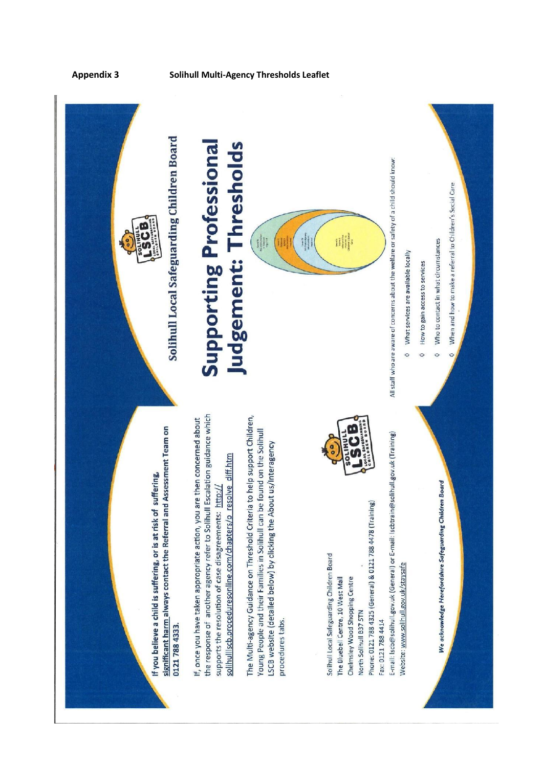

**Appendix 3 Solihull Multi-Agency Thresholds Leaflet**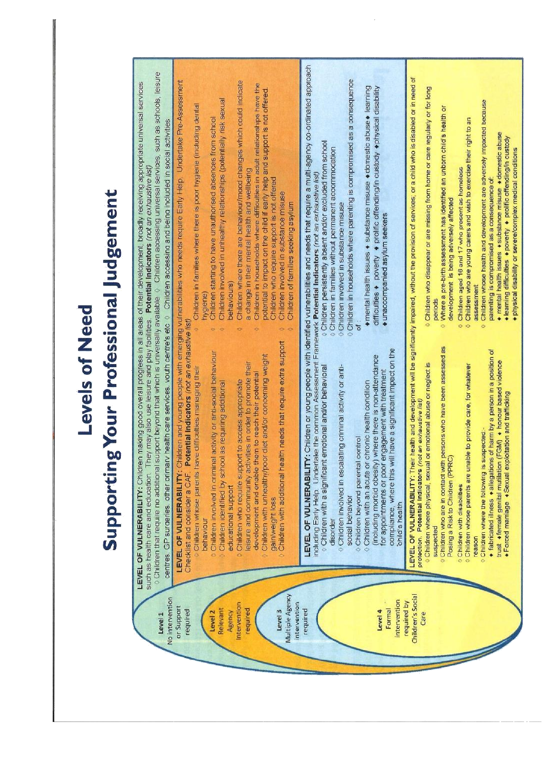# **Levels of Need**

# **Supporting Your Professional Judgement**

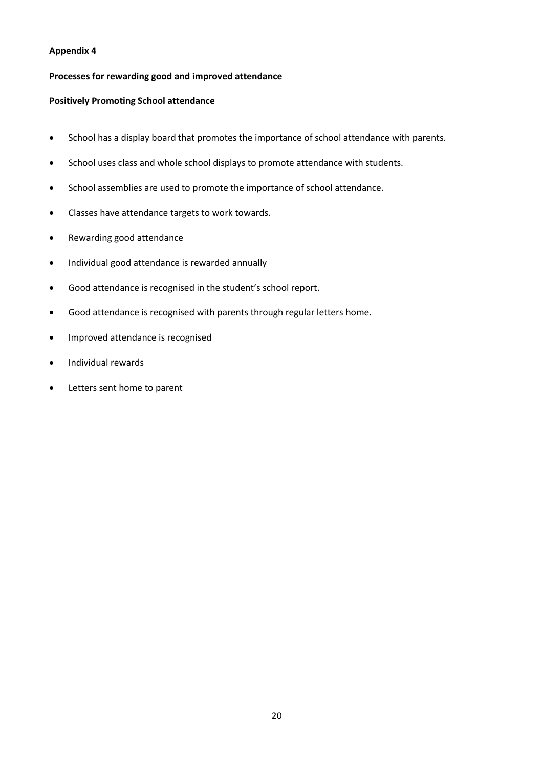# **Processes for rewarding good and improved attendance**

#### **Positively Promoting School attendance**

- School has a display board that promotes the importance of school attendance with parents.
- School uses class and whole school displays to promote attendance with students.
- School assemblies are used to promote the importance of school attendance.
- Classes have attendance targets to work towards.
- Rewarding good attendance
- Individual good attendance is rewarded annually
- Good attendance is recognised in the student's school report.
- Good attendance is recognised with parents through regular letters home.
- Improved attendance is recognised
- Individual rewards
- Letters sent home to parent